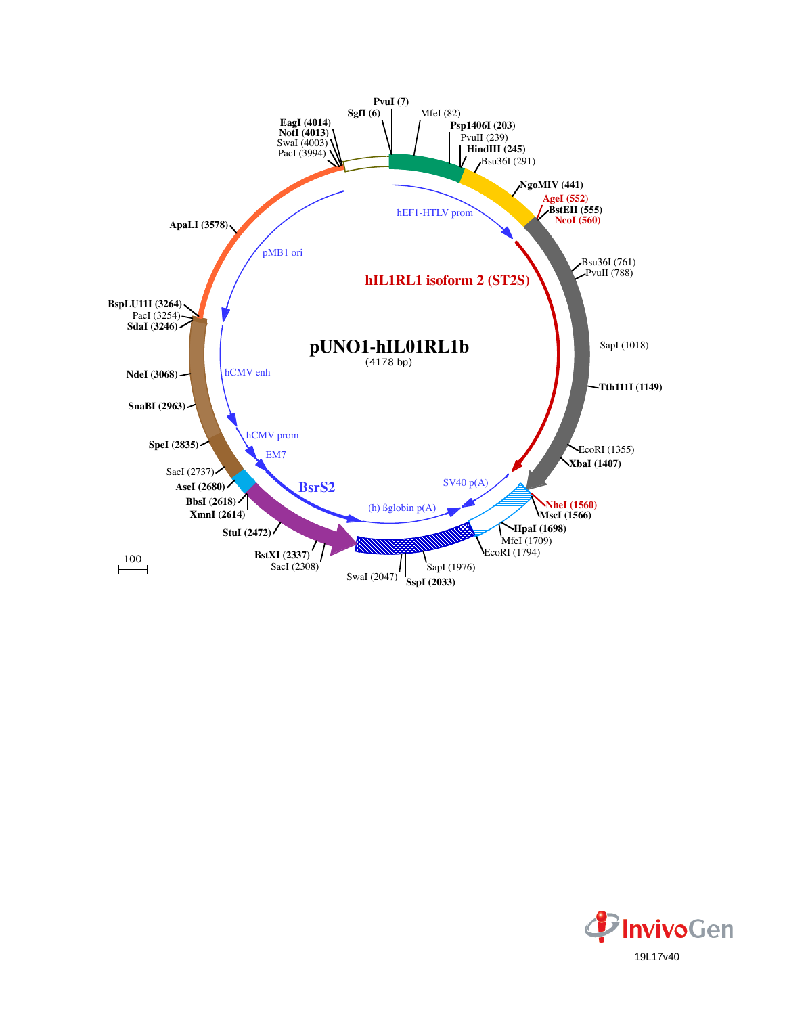

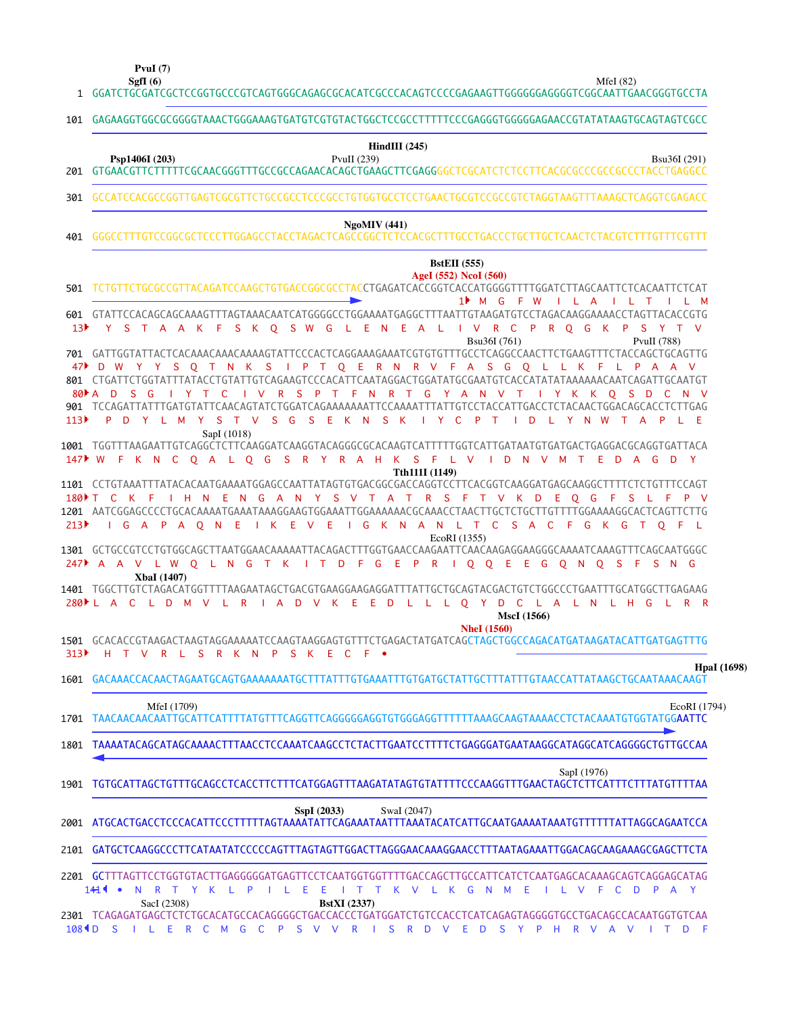**SgfI (6) PvuI (7)**

MfeI (82)

| $HindIII$ (245)<br>Psp1406I (203)<br>PvuII (239)<br>Bsu36I (291)<br>GCCATCCACGCCGGTTGAGTCGCGTTCTGCCGCCTCCCGCCTGTGGTGCCTCCTGAACTGCGTCCGCCGTCTAGGTAAGTTTAAAGCTCAGGTCGAGACC<br>NgoMIV(441)<br><b>BstEII</b> (555)<br>AgeI (552) NcoI (560)<br>TCTGTTCTGCGCCGTTACAGATCCAAGCTGTGACCGGCGCCTACCTGAGATCACCGGTCACCATGGGGTTTTGGATCTTAGCAATTCTCACAATTCTCAT<br>$1$ M G<br>F W<br>$\mathsf{L}$ $\mathsf{L}$ $\mathsf{A}$<br><b>ILL</b><br>$\top$<br>L M<br>601 GTATTCCACAGCAGCAAAGTTTAGTAAACAATCATGGGGCCTGGAAAATGAGGCTTTAATTGTAAGATGTCCTAGACAAGGAAAACCTAGTTACACCGTG<br>S K O S W G L E N E A L<br>R C<br>P.<br>R O G<br>13 <sup>b</sup><br>Y.<br>S T A A K F<br>$\mathsf{I}$ V<br>K P<br>S<br>PvuII (788)<br>Bsu36I (761)<br>YYSQTNK SIPTQERNRVFASGQLLKF<br>D<br>L P<br>801 CTGATTCTGGTATTTATACCTGTATTGTCAGAAGTCCCACATTCAATAGGACTGGATATGCGAATGTCACCATATATAAAAAACAATCAGATTGCAATGT<br>R S P T F N R T G Y A N V T<br>$80 \bullet A$<br>D<br>$-G$<br>IYTC<br>$\blacksquare$<br>I Y K K Q S D<br>- S<br>- C<br>N V<br>901 TCCAGATTATTTGATGTATTCAACAGTATCTGGATCAGAAAAAAATTCCAAAATTTATTGTCCTACCATTGACCTCTACAACTGGACAGCACCTCTTGAG<br>S T V<br>$S \cdot G$<br>S E K N<br>S K<br>$\mathsf{I}$ Y C<br>$\mathsf{P}$<br><b>W</b><br>D<br><b>Y</b><br>L M<br>Y<br>$\top$<br>D.<br>Y.<br>N.<br>$\mathbf{L}$<br>SapI (1018)<br>1001 TGGTTTAAGAATTGTCAGGCTCTTCAAGGATCAAGGTACAGGGCGCACAAGTCATTTTTGGTCATTGATAATGTGATGACTGAGGACGCAGGTGATTACA<br>147 W F K N C O A L O G S R Y R A H K S F L V I D N V M T<br>E D A<br>G<br>-D<br>- Y<br>Tth111I (1149)<br>1101 CCTGTAAATTTATACACAATGAAAATGGAGCCAATTATAGTGTGACGGCGACCAGGTCCTTCACGGTCAAGGATGAGCAAGGCTTTTCTCTGTTTCCAGT<br>I H N E N G A N Y S V T A T R S F T V K D<br>E O G<br>180 <del>▶</del> T<br>- C<br>K F<br>- F<br><b>S</b><br>1201 AATCGGAGCCCCTGCACAAAATGAAATAAAGGAAGTGGAAATTGGAAAAAACGCAAACCTAACTTGCTCTGTTTTTTGGAAAAGGCACTCAGTTCTTG<br>I G K N A N L T C S A C F G K G<br>IKEV<br>Æ<br>$\mathsf{L}$ G<br>A P A O N E<br>T O F<br>- 1.<br>EcoRI (1355)<br>1301 GCTGCCGTCCTGTGGCAGCTTAATGGAACAAAAATTACAGACTTTGGTGAACCAAGAATTCAACAAGAGGAAGGGCAAAATCAAAGTTTCAGCAATGGGC<br>A A V L W O L N G T K I T D F G E P R I O O E E G O N O<br>- S<br>- F<br>SN G<br><b>XbaI</b> (1407)<br>280 L A C L D M V<br>L R I A D V K E E D L L L O Y D C L A L N L H G<br>L R R<br>MscI (1566)<br><b>NheI</b> (1560)<br>R L S R K N<br>P S K E C<br>$F - \bullet$<br>H T V<br>1601 GACAAACCACAACTAGAATGCAGTGAAAAAAATGCTTTATTTGTGAAATTTGTGATGCTATTGCTTTATTTGTAACCATTATAAGCTGCAATAAACAAGT<br>MfeI (1709)<br>TAACAACAACAATTGCATTCATTTTATGTTTCAGGTTCAGGGGGAGGTGTGGGAGGTTTTTTAAAGCAAGTAAAACCTCTACAAATGTGGAATTC<br>1801 TAAAATACAGCATAGCAAAACTTTAACCTCCAAATCAAGCCTCTACTTGAATCCTTTTCTGAGGGATGAATAAGGCATAGGCATCAGGGGCTGTTGCCAA<br>SapI (1976)<br>TGTGCATTAGCTGTTTGCAGCCTCACCTTCTTTCATGGAGTTTAAGATATAGTGTATTTTCCCAAGGTTTGAACTAGCTCTTCATTTCTTTATGTTTTAA<br>SspI (2033)<br>SwaI (2047)<br>GATGCTCAAGGCCCTTCATAATATCCCCCAGTTTAGTAGTTGGACTTAGGGAACAAAGGAACCTTTTAATAGAAATTGGACAGAAAGGGAGCTTCTA<br>2201 GCTTTAGTTCCTGGTGTACTTGAGGGGGATGAGTTCCTCAATGGTGGTTTTGACCAGCTTGCCATTCATCTCAATGAGCACAAAGCAGTCAGGAGCATAG<br>$141$ $\bullet$<br>T Y K L P<br>L E<br>I T T K V L K G N M E<br>N.<br>- R<br>E.<br>ILVF<br>C.<br>D<br>P A Y<br>-11<br>SacI (2308)<br><b>BstXI</b> (2337)<br>2301 TCAGAGATGAGCTCTCTGCACATGCCACAGGGGCTGACCACCCTGATGGATCTGTCCACCTCATCAGAGTAGGGGTGCCTGACAGCCACAATGGTGTCAA | 101              | GAGAAGGTGGCGCGGGGTAAACTGGAAAGTGATGTCGTGTATATGCGCCTCCGCCTTTTTCCCGAGGGTGGGGAGAACCGTATATAAGTGCAGTAGTCGCC |
|---------------------------------------------------------------------------------------------------------------------------------------------------------------------------------------------------------------------------------------------------------------------------------------------------------------------------------------------------------------------------------------------------------------------------------------------------------------------------------------------------------------------------------------------------------------------------------------------------------------------------------------------------------------------------------------------------------------------------------------------------------------------------------------------------------------------------------------------------------------------------------------------------------------------------------------------------------------------------------------------------------------------------------------------------------------------------------------------------------------------------------------------------------------------------------------------------------------------------------------------------------------------------------------------------------------------------------------------------------------------------------------------------------------------------------------------------------------------------------------------------------------------------------------------------------------------------------------------------------------------------------------------------------------------------------------------------------------------------------------------------------------------------------------------------------------------------------------------------------------------------------------------------------------------------------------------------------------------------------------------------------------------------------------------------------------------------------------------------------------------------------------------------------------------------------------------------------------------------------------------------------------------------------------------------------------------------------------------------------------------------------------------------------------------------------------------------------------------------------------------------------------------------------------------------------------------------------------------------------------------------------------------------------------------------------------------------------------------------------------------------------------------------------------------------------------------------------------------------------------------------------------------------------------------------------------------------------------------------------------------------------------------------------------------------------------------------------------------------------------------------------------------------------------------------------------------------------------------------------------------------------------------------------------------------------------------------------------------------------------------------|------------------|-------------------------------------------------------------------------------------------------------|
|                                                                                                                                                                                                                                                                                                                                                                                                                                                                                                                                                                                                                                                                                                                                                                                                                                                                                                                                                                                                                                                                                                                                                                                                                                                                                                                                                                                                                                                                                                                                                                                                                                                                                                                                                                                                                                                                                                                                                                                                                                                                                                                                                                                                                                                                                                                                                                                                                                                                                                                                                                                                                                                                                                                                                                                                                                                                                                                                                                                                                                                                                                                                                                                                                                                                                                                                                                           | 201              |                                                                                                       |
|                                                                                                                                                                                                                                                                                                                                                                                                                                                                                                                                                                                                                                                                                                                                                                                                                                                                                                                                                                                                                                                                                                                                                                                                                                                                                                                                                                                                                                                                                                                                                                                                                                                                                                                                                                                                                                                                                                                                                                                                                                                                                                                                                                                                                                                                                                                                                                                                                                                                                                                                                                                                                                                                                                                                                                                                                                                                                                                                                                                                                                                                                                                                                                                                                                                                                                                                                                           | 301              |                                                                                                       |
|                                                                                                                                                                                                                                                                                                                                                                                                                                                                                                                                                                                                                                                                                                                                                                                                                                                                                                                                                                                                                                                                                                                                                                                                                                                                                                                                                                                                                                                                                                                                                                                                                                                                                                                                                                                                                                                                                                                                                                                                                                                                                                                                                                                                                                                                                                                                                                                                                                                                                                                                                                                                                                                                                                                                                                                                                                                                                                                                                                                                                                                                                                                                                                                                                                                                                                                                                                           | 401              |                                                                                                       |
|                                                                                                                                                                                                                                                                                                                                                                                                                                                                                                                                                                                                                                                                                                                                                                                                                                                                                                                                                                                                                                                                                                                                                                                                                                                                                                                                                                                                                                                                                                                                                                                                                                                                                                                                                                                                                                                                                                                                                                                                                                                                                                                                                                                                                                                                                                                                                                                                                                                                                                                                                                                                                                                                                                                                                                                                                                                                                                                                                                                                                                                                                                                                                                                                                                                                                                                                                                           | 501              |                                                                                                       |
|                                                                                                                                                                                                                                                                                                                                                                                                                                                                                                                                                                                                                                                                                                                                                                                                                                                                                                                                                                                                                                                                                                                                                                                                                                                                                                                                                                                                                                                                                                                                                                                                                                                                                                                                                                                                                                                                                                                                                                                                                                                                                                                                                                                                                                                                                                                                                                                                                                                                                                                                                                                                                                                                                                                                                                                                                                                                                                                                                                                                                                                                                                                                                                                                                                                                                                                                                                           |                  |                                                                                                       |
|                                                                                                                                                                                                                                                                                                                                                                                                                                                                                                                                                                                                                                                                                                                                                                                                                                                                                                                                                                                                                                                                                                                                                                                                                                                                                                                                                                                                                                                                                                                                                                                                                                                                                                                                                                                                                                                                                                                                                                                                                                                                                                                                                                                                                                                                                                                                                                                                                                                                                                                                                                                                                                                                                                                                                                                                                                                                                                                                                                                                                                                                                                                                                                                                                                                                                                                                                                           |                  |                                                                                                       |
|                                                                                                                                                                                                                                                                                                                                                                                                                                                                                                                                                                                                                                                                                                                                                                                                                                                                                                                                                                                                                                                                                                                                                                                                                                                                                                                                                                                                                                                                                                                                                                                                                                                                                                                                                                                                                                                                                                                                                                                                                                                                                                                                                                                                                                                                                                                                                                                                                                                                                                                                                                                                                                                                                                                                                                                                                                                                                                                                                                                                                                                                                                                                                                                                                                                                                                                                                                           | 113▶             |                                                                                                       |
|                                                                                                                                                                                                                                                                                                                                                                                                                                                                                                                                                                                                                                                                                                                                                                                                                                                                                                                                                                                                                                                                                                                                                                                                                                                                                                                                                                                                                                                                                                                                                                                                                                                                                                                                                                                                                                                                                                                                                                                                                                                                                                                                                                                                                                                                                                                                                                                                                                                                                                                                                                                                                                                                                                                                                                                                                                                                                                                                                                                                                                                                                                                                                                                                                                                                                                                                                                           |                  |                                                                                                       |
|                                                                                                                                                                                                                                                                                                                                                                                                                                                                                                                                                                                                                                                                                                                                                                                                                                                                                                                                                                                                                                                                                                                                                                                                                                                                                                                                                                                                                                                                                                                                                                                                                                                                                                                                                                                                                                                                                                                                                                                                                                                                                                                                                                                                                                                                                                                                                                                                                                                                                                                                                                                                                                                                                                                                                                                                                                                                                                                                                                                                                                                                                                                                                                                                                                                                                                                                                                           | 213              |                                                                                                       |
|                                                                                                                                                                                                                                                                                                                                                                                                                                                                                                                                                                                                                                                                                                                                                                                                                                                                                                                                                                                                                                                                                                                                                                                                                                                                                                                                                                                                                                                                                                                                                                                                                                                                                                                                                                                                                                                                                                                                                                                                                                                                                                                                                                                                                                                                                                                                                                                                                                                                                                                                                                                                                                                                                                                                                                                                                                                                                                                                                                                                                                                                                                                                                                                                                                                                                                                                                                           | 247 ▶            |                                                                                                       |
|                                                                                                                                                                                                                                                                                                                                                                                                                                                                                                                                                                                                                                                                                                                                                                                                                                                                                                                                                                                                                                                                                                                                                                                                                                                                                                                                                                                                                                                                                                                                                                                                                                                                                                                                                                                                                                                                                                                                                                                                                                                                                                                                                                                                                                                                                                                                                                                                                                                                                                                                                                                                                                                                                                                                                                                                                                                                                                                                                                                                                                                                                                                                                                                                                                                                                                                                                                           |                  |                                                                                                       |
|                                                                                                                                                                                                                                                                                                                                                                                                                                                                                                                                                                                                                                                                                                                                                                                                                                                                                                                                                                                                                                                                                                                                                                                                                                                                                                                                                                                                                                                                                                                                                                                                                                                                                                                                                                                                                                                                                                                                                                                                                                                                                                                                                                                                                                                                                                                                                                                                                                                                                                                                                                                                                                                                                                                                                                                                                                                                                                                                                                                                                                                                                                                                                                                                                                                                                                                                                                           | 313 <sup>2</sup> |                                                                                                       |
|                                                                                                                                                                                                                                                                                                                                                                                                                                                                                                                                                                                                                                                                                                                                                                                                                                                                                                                                                                                                                                                                                                                                                                                                                                                                                                                                                                                                                                                                                                                                                                                                                                                                                                                                                                                                                                                                                                                                                                                                                                                                                                                                                                                                                                                                                                                                                                                                                                                                                                                                                                                                                                                                                                                                                                                                                                                                                                                                                                                                                                                                                                                                                                                                                                                                                                                                                                           |                  | <b>HpaI</b> (1698)                                                                                    |
|                                                                                                                                                                                                                                                                                                                                                                                                                                                                                                                                                                                                                                                                                                                                                                                                                                                                                                                                                                                                                                                                                                                                                                                                                                                                                                                                                                                                                                                                                                                                                                                                                                                                                                                                                                                                                                                                                                                                                                                                                                                                                                                                                                                                                                                                                                                                                                                                                                                                                                                                                                                                                                                                                                                                                                                                                                                                                                                                                                                                                                                                                                                                                                                                                                                                                                                                                                           | 1701             | EcoRI (1794)                                                                                          |
|                                                                                                                                                                                                                                                                                                                                                                                                                                                                                                                                                                                                                                                                                                                                                                                                                                                                                                                                                                                                                                                                                                                                                                                                                                                                                                                                                                                                                                                                                                                                                                                                                                                                                                                                                                                                                                                                                                                                                                                                                                                                                                                                                                                                                                                                                                                                                                                                                                                                                                                                                                                                                                                                                                                                                                                                                                                                                                                                                                                                                                                                                                                                                                                                                                                                                                                                                                           |                  |                                                                                                       |
|                                                                                                                                                                                                                                                                                                                                                                                                                                                                                                                                                                                                                                                                                                                                                                                                                                                                                                                                                                                                                                                                                                                                                                                                                                                                                                                                                                                                                                                                                                                                                                                                                                                                                                                                                                                                                                                                                                                                                                                                                                                                                                                                                                                                                                                                                                                                                                                                                                                                                                                                                                                                                                                                                                                                                                                                                                                                                                                                                                                                                                                                                                                                                                                                                                                                                                                                                                           | 1901             |                                                                                                       |
|                                                                                                                                                                                                                                                                                                                                                                                                                                                                                                                                                                                                                                                                                                                                                                                                                                                                                                                                                                                                                                                                                                                                                                                                                                                                                                                                                                                                                                                                                                                                                                                                                                                                                                                                                                                                                                                                                                                                                                                                                                                                                                                                                                                                                                                                                                                                                                                                                                                                                                                                                                                                                                                                                                                                                                                                                                                                                                                                                                                                                                                                                                                                                                                                                                                                                                                                                                           | 2001             |                                                                                                       |
|                                                                                                                                                                                                                                                                                                                                                                                                                                                                                                                                                                                                                                                                                                                                                                                                                                                                                                                                                                                                                                                                                                                                                                                                                                                                                                                                                                                                                                                                                                                                                                                                                                                                                                                                                                                                                                                                                                                                                                                                                                                                                                                                                                                                                                                                                                                                                                                                                                                                                                                                                                                                                                                                                                                                                                                                                                                                                                                                                                                                                                                                                                                                                                                                                                                                                                                                                                           | 2101             |                                                                                                       |
|                                                                                                                                                                                                                                                                                                                                                                                                                                                                                                                                                                                                                                                                                                                                                                                                                                                                                                                                                                                                                                                                                                                                                                                                                                                                                                                                                                                                                                                                                                                                                                                                                                                                                                                                                                                                                                                                                                                                                                                                                                                                                                                                                                                                                                                                                                                                                                                                                                                                                                                                                                                                                                                                                                                                                                                                                                                                                                                                                                                                                                                                                                                                                                                                                                                                                                                                                                           |                  |                                                                                                       |

D S I L E R C M G C P S V V R I S R D V E D S Y P H R V A V I T D F 108